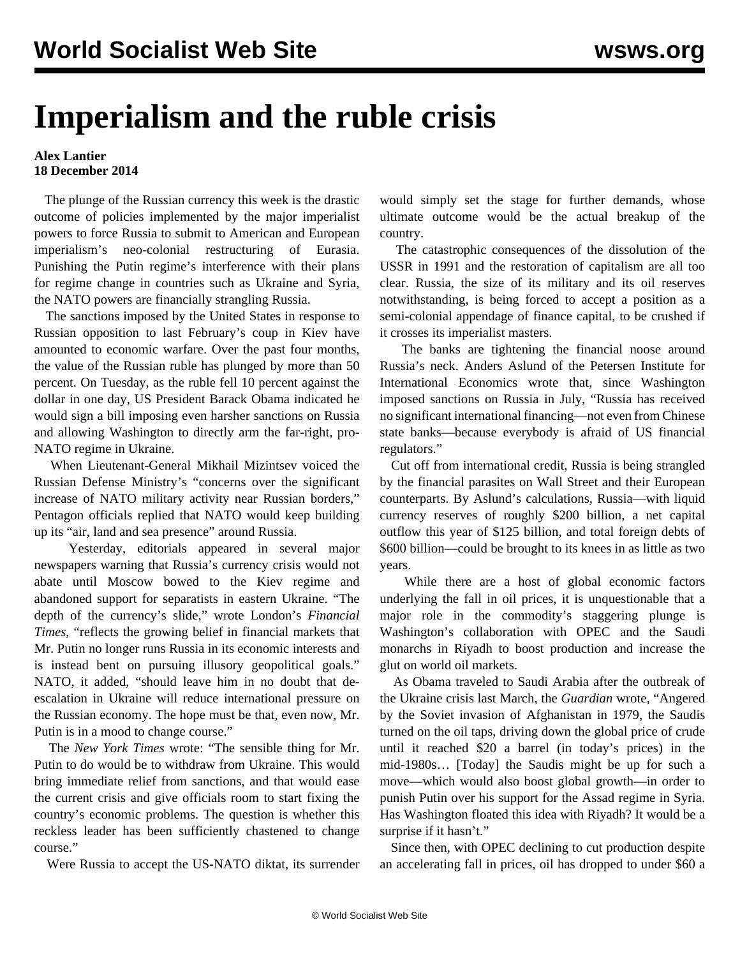## **Imperialism and the ruble crisis**

## **Alex Lantier 18 December 2014**

 The plunge of the Russian currency this week is the drastic outcome of policies implemented by the major imperialist powers to force Russia to submit to American and European imperialism's neo-colonial restructuring of Eurasia. Punishing the Putin regime's interference with their plans for regime change in countries such as Ukraine and Syria, the NATO powers are financially strangling Russia.

 The sanctions imposed by the United States in response to Russian opposition to last February's coup in Kiev have amounted to economic warfare. Over the past four months, the value of the Russian ruble has plunged by more than 50 percent. On Tuesday, as the ruble fell 10 percent against the dollar in one day, US President Barack Obama indicated he would sign a bill imposing even harsher sanctions on Russia and allowing Washington to directly arm the far-right, pro-NATO regime in Ukraine.

 When Lieutenant-General Mikhail Mizintsev voiced the Russian Defense Ministry's "concerns over the significant increase of NATO military activity near Russian borders," Pentagon officials replied that NATO would keep building up its "air, land and sea presence" around Russia.

 Yesterday, editorials appeared in several major newspapers warning that Russia's currency crisis would not abate until Moscow bowed to the Kiev regime and abandoned support for separatists in eastern Ukraine. "The depth of the currency's slide," wrote London's *Financial Times*, "reflects the growing belief in financial markets that Mr. Putin no longer runs Russia in its economic interests and is instead bent on pursuing illusory geopolitical goals." NATO, it added, "should leave him in no doubt that deescalation in Ukraine will reduce international pressure on the Russian economy. The hope must be that, even now, Mr. Putin is in a mood to change course."

 The *New York Times* wrote: "The sensible thing for Mr. Putin to do would be to withdraw from Ukraine. This would bring immediate relief from sanctions, and that would ease the current crisis and give officials room to start fixing the country's economic problems. The question is whether this reckless leader has been sufficiently chastened to change course."

Were Russia to accept the US-NATO diktat, its surrender

would simply set the stage for further demands, whose ultimate outcome would be the actual breakup of the country.

 The catastrophic consequences of the dissolution of the USSR in 1991 and the restoration of capitalism are all too clear. Russia, the size of its military and its oil reserves notwithstanding, is being forced to accept a position as a semi-colonial appendage of finance capital, to be crushed if it crosses its imperialist masters.

 The banks are tightening the financial noose around Russia's neck. Anders Aslund of the Petersen Institute for International Economics wrote that, since Washington imposed sanctions on Russia in July, "Russia has received no significant international financing—not even from Chinese state banks—because everybody is afraid of US financial regulators."

 Cut off from international credit, Russia is being strangled by the financial parasites on Wall Street and their European counterparts. By Aslund's calculations, Russia—with liquid currency reserves of roughly \$200 billion, a net capital outflow this year of \$125 billion, and total foreign debts of \$600 billion—could be brought to its knees in as little as two years.

 While there are a host of global economic factors underlying the fall in oil prices, it is unquestionable that a major role in the commodity's staggering plunge is Washington's collaboration with OPEC and the Saudi monarchs in Riyadh to boost production and increase the glut on world oil markets.

 As Obama traveled to Saudi Arabia after the outbreak of the Ukraine crisis last March, the *Guardian* wrote, "Angered by the Soviet invasion of Afghanistan in 1979, the Saudis turned on the oil taps, driving down the global price of crude until it reached \$20 a barrel (in today's prices) in the mid-1980s… [Today] the Saudis might be up for such a move—which would also boost global growth—in order to punish Putin over his support for the Assad regime in Syria. Has Washington floated this idea with Riyadh? It would be a surprise if it hasn't."

 Since then, with OPEC declining to cut production despite an accelerating fall in prices, oil has dropped to under \$60 a